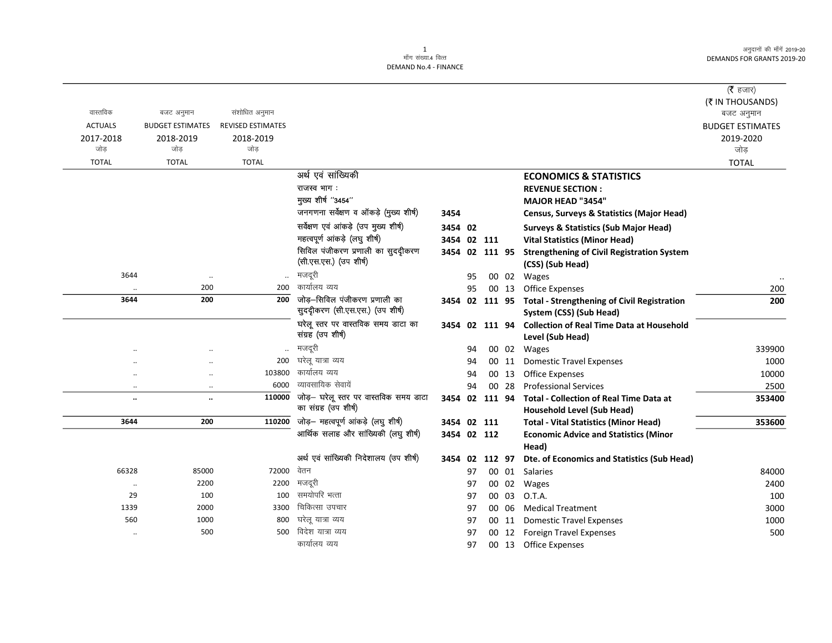अनुदानों की माँगें 2019-20 **DEMANDS FOR GRANTS 2019-20** 

|                      |                         |                          |                                        |                |    |       |                                                            | (रै हजार)               |
|----------------------|-------------------------|--------------------------|----------------------------------------|----------------|----|-------|------------------------------------------------------------|-------------------------|
|                      |                         |                          |                                        |                |    |       |                                                            | (₹ IN THOUSANDS)        |
| वास्तविक             | बजट अनुमान              | संशोधित अनुमान           |                                        |                |    |       |                                                            | बजट अनुमान              |
| <b>ACTUALS</b>       | <b>BUDGET ESTIMATES</b> | <b>REVISED ESTIMATES</b> |                                        |                |    |       |                                                            | <b>BUDGET ESTIMATES</b> |
| 2017-2018            | 2018-2019               | 2018-2019                |                                        |                |    |       |                                                            | 2019-2020               |
| जोड                  | जोड                     | जोड                      |                                        |                |    |       |                                                            | जोड                     |
| <b>TOTAL</b>         | <b>TOTAL</b>            | <b>TOTAL</b>             |                                        |                |    |       |                                                            | <b>TOTAL</b>            |
|                      |                         |                          | अर्थ एवं सांख्यिकी                     |                |    |       | <b>ECONOMICS &amp; STATISTICS</b>                          |                         |
|                      |                         |                          | राजस्व भाग:                            |                |    |       | <b>REVENUE SECTION:</b>                                    |                         |
|                      |                         |                          | मुख्य शीर्ष "3454"                     |                |    |       | <b>MAJOR HEAD "3454"</b>                                   |                         |
|                      |                         |                          | जनगणना सर्वेक्षण व ऑकड़े (मुख्य शीर्ष) | 3454           |    |       | <b>Census, Surveys &amp; Statistics (Major Head)</b>       |                         |
|                      |                         |                          | सर्वेक्षण एवं आंकड़े (उप मुख्य शीर्ष)  | 3454 02        |    |       | <b>Surveys &amp; Statistics (Sub Major Head)</b>           |                         |
|                      |                         |                          | महत्वपूर्ण आंकड़े (लघु शीर्ष)          | 3454 02 111    |    |       | <b>Vital Statistics (Minor Head)</b>                       |                         |
|                      |                         |                          | सिविल पंजीकरण प्रणाली का सुददीकरण      | 3454 02 111 95 |    |       | <b>Strengthening of Civil Registration System</b>          |                         |
|                      |                         |                          | (सी.एस.एस.) (उप शीर्ष)                 |                |    |       | (CSS) (Sub Head)                                           |                         |
| 3644                 | $\ddot{\phantom{a}}$    |                          | मजदूरी                                 |                | 95 |       | 00 02 Wages                                                |                         |
|                      | 200                     | 200                      | कार्यालय व्यय                          |                | 95 | 00 13 | <b>Office Expenses</b>                                     | 200                     |
| 3644                 | 200                     | 200                      | जोड़—सिविल पंजीकरण प्रणाली का          |                |    |       | 3454 02 111 95 Total - Strengthening of Civil Registration | 200                     |
|                      |                         |                          | सुददीकरण (सी.एस.एस.) (उप शीर्ष)        |                |    |       | System (CSS) (Sub Head)                                    |                         |
|                      |                         |                          | घरेलू स्तर पर वास्तविक समय डाटा का     |                |    |       | 3454 02 111 94 Collection of Real Time Data at Household   |                         |
|                      |                         |                          | संग्रह (उप शीर्ष)                      |                |    |       | Level (Sub Head)                                           |                         |
|                      |                         |                          | मजदूरी                                 |                | 94 |       | 00 02 Wages                                                | 339900                  |
|                      | $\cdot$ .               | 200                      | घरेलू यात्रा व्यय                      |                | 94 | 00 11 | <b>Domestic Travel Expenses</b>                            | 1000                    |
| $\ddotsc$            | $\cdot$ .               | 103800                   | कार्यालय व्यय                          |                | 94 | 00 13 | <b>Office Expenses</b>                                     | 10000                   |
| $\ddot{\phantom{0}}$ | $\ldots$                | 6000                     | व्यावसायिक सेवायें                     |                | 94 | 00 28 | <b>Professional Services</b>                               | 2500                    |
| $\ldots$             | $\ddotsc$               | 110000                   | जोड़– घरेलू स्तर पर वास्तविक समय डाटा  | 3454 02 111 94 |    |       | <b>Total - Collection of Real Time Data at</b>             | 353400                  |
|                      |                         |                          | का संग्रह (उप शीर्ष)                   |                |    |       | <b>Household Level (Sub Head)</b>                          |                         |
| 3644                 | 200                     | 110200                   | जोड़- महत्वपूर्ण आंकड़े (लघु शीर्ष)    | 3454 02 111    |    |       | <b>Total - Vital Statistics (Minor Head)</b>               | 353600                  |
|                      |                         |                          | आर्थिक सलाह और सांख्यिकी (लघु शीर्ष)   | 3454 02 112    |    |       | <b>Economic Advice and Statistics (Minor</b>               |                         |
|                      |                         |                          |                                        |                |    |       | Head)                                                      |                         |
|                      |                         |                          | अर्थ एवं सांख्यिकी निदेशालय (उप शीर्ष) | 3454 02 112 97 |    |       | Dte. of Economics and Statistics (Sub Head)                |                         |
| 66328                | 85000                   | 72000                    | वेतन                                   |                | 97 |       | 00 01 Salaries                                             | 84000                   |
| $\ddot{\phantom{0}}$ | 2200                    | 2200                     | मजदूरी                                 |                | 97 | 00 02 | Wages                                                      | 2400                    |
| 29                   | 100                     | 100                      | समयोपरि भत्ता                          |                | 97 | 00 03 | O.T.A.                                                     | 100                     |
|                      |                         |                          | चिकित्सा उपचार                         |                | 97 | 00 06 | <b>Medical Treatment</b>                                   | 3000                    |
| 1339                 | 2000                    | 3300                     |                                        |                |    |       |                                                            |                         |
| 560                  | 1000                    | 800                      | घरेलू यात्रा व्यय                      |                | 97 | 00 11 | <b>Domestic Travel Expenses</b>                            | 1000                    |
|                      | 500                     | 500                      | विदेश यात्रा व्यय<br>कार्यालय व्यय     |                | 97 |       | 00 12 Foreign Travel Expenses                              | 500                     |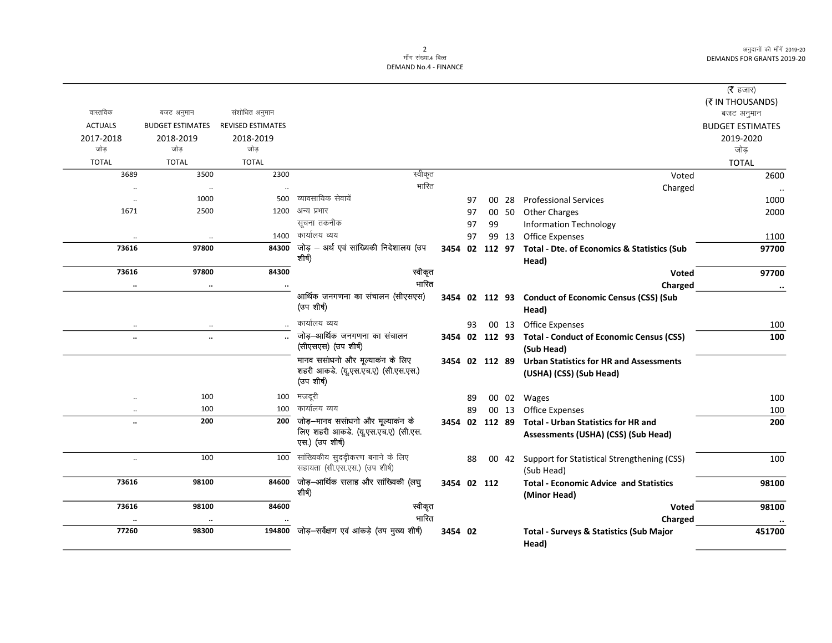अनुदानों की माँगें 2019-20 DEMANDS FOR GRANTS 2019-20

## 2<br>माँग संख्या.4 वित्त DEMAND No.4 - FINANCE

|                      |                         |                          |                                            |             |    |                |       |                                                            | ( $\bar{\tau}$ हजार)    |
|----------------------|-------------------------|--------------------------|--------------------------------------------|-------------|----|----------------|-------|------------------------------------------------------------|-------------------------|
|                      |                         |                          |                                            |             |    |                |       |                                                            | (₹ IN THOUSANDS)        |
| वास्तविक             | बजट अनुमान              | संशोधित अनुमान           |                                            |             |    |                |       |                                                            | बजट अनुमान              |
| <b>ACTUALS</b>       | <b>BUDGET ESTIMATES</b> | <b>REVISED ESTIMATES</b> |                                            |             |    |                |       |                                                            | <b>BUDGET ESTIMATES</b> |
| 2017-2018            | 2018-2019               | 2018-2019                |                                            |             |    |                |       |                                                            | 2019-2020               |
| जोड                  | जोड                     | जोड                      |                                            |             |    |                |       |                                                            | जोड़                    |
| <b>TOTAL</b>         | <b>TOTAL</b>            | <b>TOTAL</b>             |                                            |             |    |                |       |                                                            | <b>TOTAL</b>            |
| 3689                 | 3500                    | 2300                     | स्वीकृत                                    |             |    |                |       | Voted                                                      | 2600                    |
|                      | $\cdot\cdot$            | $\ddotsc$                | भारित                                      |             |    |                |       | Charged                                                    |                         |
| $\cdot$              | 1000                    | 500                      | व्यावसायिक सेवायें                         |             | 97 | 00             | 28    | <b>Professional Services</b>                               | 1000                    |
| 1671                 | 2500                    | 1200                     | अन्य प्रभार                                |             | 97 |                |       | 00 50 Other Charges                                        | 2000                    |
|                      |                         |                          | सूचना तकनीक                                |             | 97 | 99             |       | <b>Information Technology</b>                              |                         |
| $\ddotsc$            | $\ldots$                | 1400                     | कार्यालय व्यय                              |             | 97 |                | 99 13 | <b>Office Expenses</b>                                     | 1100                    |
| 73616                | 97800                   | 84300                    | जोड़ – अर्थ एवं सांख्यिकी निदेशालय (उप     |             |    |                |       | 3454 02 112 97 Total - Dte. of Economics & Statistics (Sub | 97700                   |
|                      |                         |                          | शीर्ष)                                     |             |    |                |       | Head)                                                      |                         |
| 73616                | 97800                   | 84300                    | स्वीकृत                                    |             |    |                |       | Voted                                                      | 97700                   |
| $\ddotsc$            | $\ddotsc$               | $\ddotsc$                | भारित                                      |             |    |                |       | Charged                                                    | $\cdot\cdot$            |
|                      |                         |                          | आर्थिक जनगणना का संचालन (सीएसएस)           |             |    |                |       | 3454 02 112 93 Conduct of Economic Census (CSS) (Sub       |                         |
|                      |                         |                          | (उप शीर्ष)                                 |             |    |                |       | Head)                                                      |                         |
|                      |                         |                          | कार्यालय व्यय                              |             | 93 |                |       | 00 13 Office Expenses                                      | 100                     |
| $\ddot{\phantom{a}}$ | $\ddot{\phantom{a}}$    |                          | जोड़-आर्थिक जनगणना का संचालन               |             |    |                |       | 3454 02 112 93 Total - Conduct of Economic Census (CSS)    | 100                     |
|                      |                         |                          | (सीएसएस) (उप शीर्ष)                        |             |    |                |       | (Sub Head)                                                 |                         |
|                      |                         |                          | मानव ससांधनो और मूल्याकंन के लिए           |             |    |                |       | 3454 02 112 89 Urban Statistics for HR and Assessments     |                         |
|                      |                         |                          | शहरी आकडे. (यू.एस.एच.ए) (सी.एस.एस.)        |             |    |                |       | (USHA) (CSS) (Sub Head)                                    |                         |
|                      |                         |                          | (उप शीर्ष)                                 |             |    |                |       |                                                            |                         |
| $\ddot{\phantom{a}}$ | 100                     | 100                      | मजदूरी                                     |             | 89 |                |       | 00 02 Wages                                                | 100                     |
| $\ddotsc$            | 100                     | 100                      | कार्यालय व्यय                              |             | 89 |                | 00 13 | Office Expenses                                            | 100                     |
| $\ddotsc$            | 200                     | 200                      | जोड़—मानव ससांधनो और मूल्याकंन के          |             |    | 3454 02 112 89 |       | <b>Total - Urban Statistics for HR and</b>                 | 200                     |
|                      |                         |                          | लिए शहरी आकडे. (यू.एस.एच.ए) (सी.एस.        |             |    |                |       | Assessments (USHA) (CSS) (Sub Head)                        |                         |
|                      |                         |                          | एस.) (उप शीर्ष)                            |             |    |                |       |                                                            |                         |
| $\ldots$             | 100                     | 100                      | सांख्यिकीय सुदद्रीकरण बनाने के लिए         |             | 88 |                | 00 42 | Support for Statistical Strengthening (CSS)                | 100                     |
|                      |                         |                          | सहायता (सी.एस.एस.) (उप शीर्ष)              |             |    |                |       | (Sub Head)                                                 |                         |
| 73616                | 98100                   | 84600                    | जोड़-आर्थिक सलाह और सांख्यिकी (लघु         | 3454 02 112 |    |                |       | <b>Total - Economic Advice and Statistics</b>              | 98100                   |
|                      |                         |                          | शीर्ष)                                     |             |    |                |       | (Minor Head)                                               |                         |
| 73616                | 98100                   | 84600                    | स्वीकृत                                    |             |    |                |       | Voted                                                      | 98100                   |
| $\ddot{\phantom{0}}$ | $\ddot{\phantom{a}}$    |                          | भारित                                      |             |    |                |       | Charged                                                    | $\cdot \cdot$           |
| 77260                | 98300                   | 194800                   | जोड़—सर्वेक्षण एवं आंकड़े (उप मुख्य शीर्ष) | 3454 02     |    |                |       | <b>Total - Surveys &amp; Statistics (Sub Major</b>         | 451700                  |
|                      |                         |                          |                                            |             |    |                |       | Head)                                                      |                         |
|                      |                         |                          |                                            |             |    |                |       |                                                            |                         |